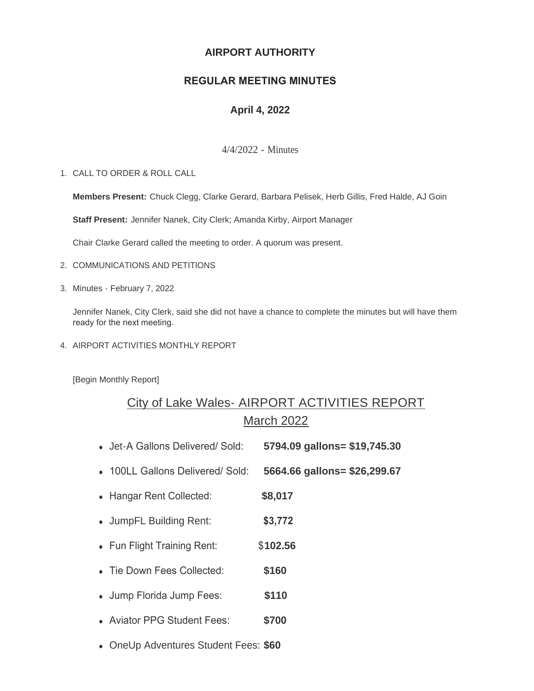## **AIRPORT AUTHORITY**

## **REGULAR MEETING MINUTES**

## **April 4, 2022**

4/4/2022 - Minutes

CALL TO ORDER & ROLL CALL 1.

**Members Present:** Chuck Clegg, Clarke Gerard, Barbara Pelisek, Herb Gillis, Fred Halde, AJ Goin

**Staff Present:** Jennifer Nanek, City Clerk; Amanda Kirby, Airport Manager

Chair Clarke Gerard called the meeting to order. A quorum was present.

- 2. COMMUNICATIONS AND PETITIONS
- Minutes February 7, 2022 3.

Jennifer Nanek, City Clerk, said she did not have a chance to complete the minutes but will have them ready for the next meeting.

4. AIRPORT ACTIVITIES MONTHLY REPORT

[Begin Monthly Report]

# City of Lake Wales- AIRPORT ACTIVITIES REPORT March 2022

- <sup>l</sup> Jet-A Gallons Delivered/ Sold: **5794.09 gallons= \$19,745.30**
- <sup>l</sup> 100LL Gallons Delivered/ Sold: **5664.66 gallons= \$26,299.67**
- Hangar Rent Collected: **\$8,017**
- <sup>l</sup> JumpFL Building Rent: **\$3,772**
- Fun Flight Training Rent: \$102.56
- Tie Down Fees Collected: **\$160**
- <sup>l</sup> Jump Florida Jump Fees: **\$110**
- <sup>l</sup> Aviator PPG Student Fees: **\$700**
- **.** OneUp Adventures Student Fees: \$60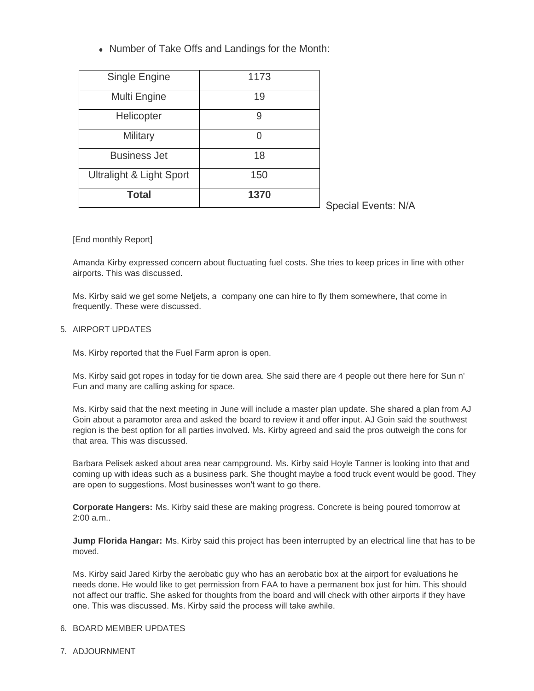• Number of Take Offs and Landings for the Month:

| Single Engine                       | 1173 |                            |
|-------------------------------------|------|----------------------------|
| Multi Engine                        | 19   |                            |
| Helicopter                          | 9    |                            |
| Military                            | 0    |                            |
| <b>Business Jet</b>                 | 18   |                            |
| <b>Ultralight &amp; Light Sport</b> | 150  |                            |
| Total                               | 1370 | <b>Special Events: N/A</b> |

### [End monthly Report]

Amanda Kirby expressed concern about fluctuating fuel costs. She tries to keep prices in line with other airports. This was discussed.

Ms. Kirby said we get some Netjets, a company one can hire to fly them somewhere, that come in frequently. These were discussed.

### 5. AIRPORT UPDATES

Ms. Kirby reported that the Fuel Farm apron is open.

Ms. Kirby said got ropes in today for tie down area. She said there are 4 people out there here for Sun n' Fun and many are calling asking for space.

Ms. Kirby said that the next meeting in June will include a master plan update. She shared a plan from AJ Goin about a paramotor area and asked the board to review it and offer input. AJ Goin said the southwest region is the best option for all parties involved. Ms. Kirby agreed and said the pros outweigh the cons for that area. This was discussed.

Barbara Pelisek asked about area near campground. Ms. Kirby said Hoyle Tanner is looking into that and coming up with ideas such as a business park. She thought maybe a food truck event would be good. They are open to suggestions. Most businesses won't want to go there.

**Corporate Hangers:** Ms. Kirby said these are making progress. Concrete is being poured tomorrow at 2:00 a.m..

**Jump Florida Hangar:** Ms. Kirby said this project has been interrupted by an electrical line that has to be moved.

Ms. Kirby said Jared Kirby the aerobatic guy who has an aerobatic box at the airport for evaluations he needs done. He would like to get permission from FAA to have a permanent box just for him. This should not affect our traffic. She asked for thoughts from the board and will check with other airports if they have one. This was discussed. Ms. Kirby said the process will take awhile.

### 6. BOARD MEMBER UPDATES

7. ADJOURNMENT